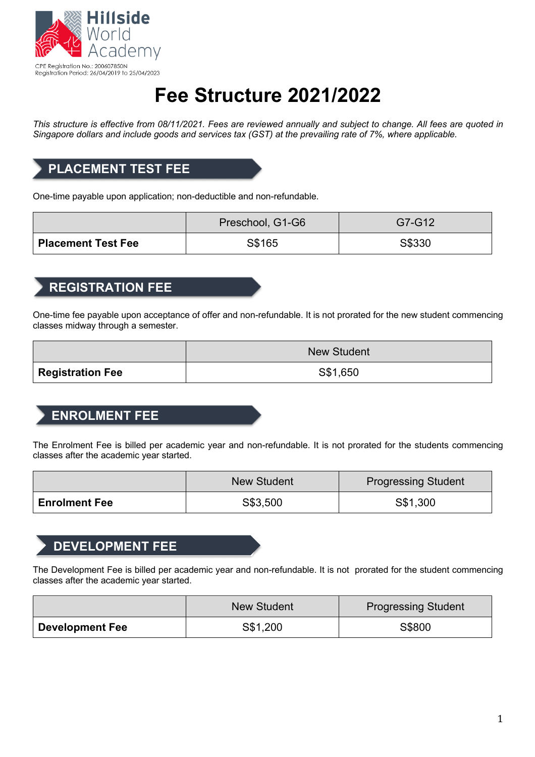

# **Fee Structure 2021/2022**

*This structure is effective from 08/11/2021. Fees are reviewed annually and subject to change. All fees are quoted in Singapore dollars and include goods and services tax (GST) at the prevailing rate of 7%, where applicable.*

### **PLACEMENT TEST FEE**

One-time payable upon application; non-deductible and non-refundable.

|                      | Preschool, G1-G6 | G7-G12 |
|----------------------|------------------|--------|
| ' Placement Test Fee | S\$165           | S\$330 |

#### **REGISTRATION FEE**

One-time fee payable upon acceptance of offer and non-refundable. It is not prorated for the new student commencing classes midway through a semester.

|                                | <b>New Student</b> |  |
|--------------------------------|--------------------|--|
| $^\mathsf{!}$ Registration Fee | S\$1,650           |  |

### **ENROLMENT FEE**

The Enrolment Fee is billed per academic year and non-refundable. It is not prorated for the students commencing classes after the academic year started.

|                      | <b>New Student</b> | <b>Progressing Student</b> |
|----------------------|--------------------|----------------------------|
| <b>Enrolment Fee</b> | S\$3,500           | S\$1,300                   |

### **DEVELOPMENT FEE**

The Development Fee is billed per academic year and non-refundable. It is not prorated for the student commencing classes after the academic year started.

|                        | <b>New Student</b> | <b>Progressing Student</b> |
|------------------------|--------------------|----------------------------|
| <b>Development Fee</b> | S\$1,200           | S\$800                     |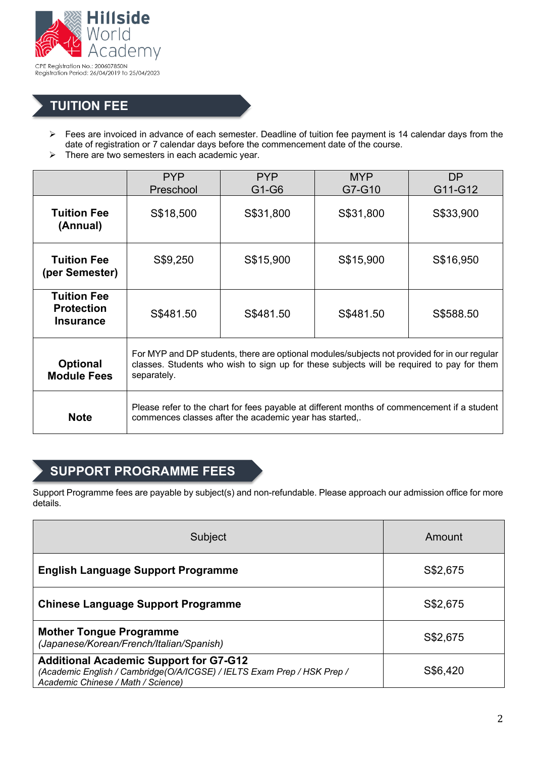

### **TUITION FEE**

- Ø Fees are invoiced in advance of each semester. Deadline of tuition fee payment is 14 calendar days from the date of registration or 7 calendar days before the commencement date of the course.
- $\triangleright$  There are two semesters in each academic year.

|                                                             | <b>PYP</b><br>Preschool                                                                                                                                                                                  | <b>PYP</b><br>G1-G6 | <b>MYP</b><br>G7-G10 | <b>DP</b><br>G11-G12 |
|-------------------------------------------------------------|----------------------------------------------------------------------------------------------------------------------------------------------------------------------------------------------------------|---------------------|----------------------|----------------------|
| <b>Tuition Fee</b><br>(Annual)                              | S\$18,500                                                                                                                                                                                                | S\$31,800           | S\$31,800            | S\$33,900            |
| <b>Tuition Fee</b><br>(per Semester)                        | S\$9,250                                                                                                                                                                                                 | S\$15,900           | S\$15,900            | S\$16,950            |
| <b>Tuition Fee</b><br><b>Protection</b><br><b>Insurance</b> | S\$481.50                                                                                                                                                                                                | S\$481.50           | S\$481.50            | S\$588.50            |
| <b>Optional</b><br><b>Module Fees</b>                       | For MYP and DP students, there are optional modules/subjects not provided for in our regular<br>classes. Students who wish to sign up for these subjects will be required to pay for them<br>separately. |                     |                      |                      |
| <b>Note</b>                                                 | Please refer to the chart for fees payable at different months of commencement if a student<br>commences classes after the academic year has started,.                                                   |                     |                      |                      |

### **SUPPORT PROGRAMME FEES**

Support Programme fees are payable by subject(s) and non-refundable. Please approach our admission office for more details.

| Subject                                                                                                                                                        | Amount   |
|----------------------------------------------------------------------------------------------------------------------------------------------------------------|----------|
| <b>English Language Support Programme</b>                                                                                                                      | S\$2,675 |
| <b>Chinese Language Support Programme</b>                                                                                                                      | S\$2,675 |
| <b>Mother Tongue Programme</b><br>(Japanese/Korean/French/Italian/Spanish)                                                                                     | S\$2,675 |
| <b>Additional Academic Support for G7-G12</b><br>(Academic English / Cambridge(O/A/ICGSE) / IELTS Exam Prep / HSK Prep /<br>Academic Chinese / Math / Science) | S\$6,420 |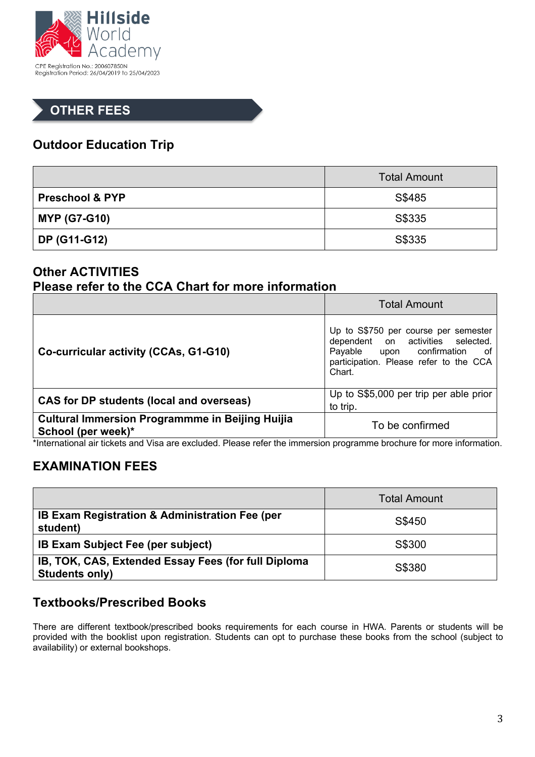

### **OTHER FEES**

### **Outdoor Education Trip**

|                            | <b>Total Amount</b> |  |
|----------------------------|---------------------|--|
| <b>Preschool &amp; PYP</b> | S\$485              |  |
| <b>MYP (G7-G10)</b>        | S\$335              |  |
| DP (G11-G12)               | S\$335              |  |

#### **Other ACTIVITIES Please refer to the CCA Chart for more information**

|                                                                              | <b>Total Amount</b>                                                                                                                                              |
|------------------------------------------------------------------------------|------------------------------------------------------------------------------------------------------------------------------------------------------------------|
| Co-curricular activity (CCAs, G1-G10)                                        | Up to S\$750 per course per semester<br>dependent on activities selected.<br>Payable upon confirmation<br>of<br>participation. Please refer to the CCA<br>Chart. |
| <b>CAS for DP students (local and overseas)</b>                              | Up to S\$5,000 per trip per able prior<br>to trip.                                                                                                               |
| <b>Cultural Immersion Programmme in Beijing Huijia</b><br>School (per week)* | To be confirmed                                                                                                                                                  |

\*International air tickets and Visa are excluded. Please refer the immersion programme brochure for more information.

### **EXAMINATION FEES**

|                                                                              | <b>Total Amount</b> |
|------------------------------------------------------------------------------|---------------------|
| <b>IB Exam Registration &amp; Administration Fee (per</b><br>student)        | S\$450              |
| <b>IB Exam Subject Fee (per subject)</b>                                     | S\$300              |
| IB, TOK, CAS, Extended Essay Fees (for full Diploma<br><b>Students only)</b> | S\$380              |

### **Textbooks/Prescribed Books**

There are different textbook/prescribed books requirements for each course in HWA. Parents or students will be provided with the booklist upon registration. Students can opt to purchase these books from the school (subject to availability) or external bookshops.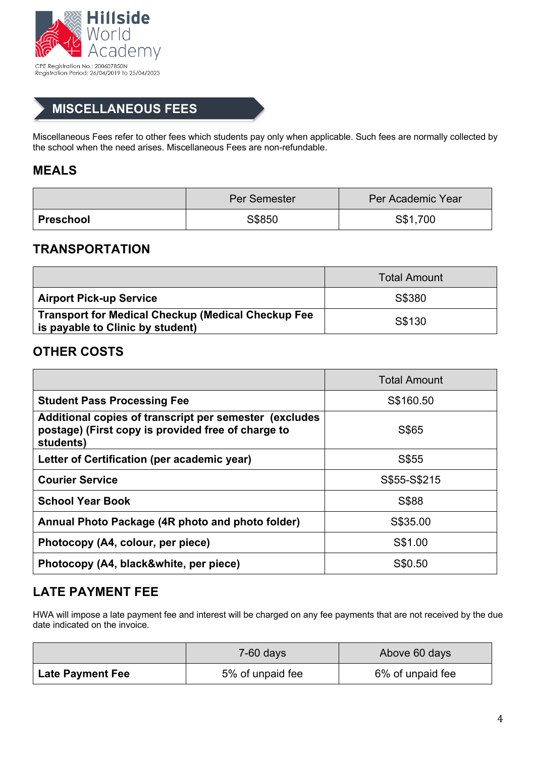

### **MISCELLANEOUS FEES**

Miscellaneous Fees refer to other fees which students pay only when applicable. Such fees are normally collected by the school when the need arises. Miscellaneous Fees are non-refundable.

#### **MEALS**

|                  | <b>Per Semester</b> | Per Academic Year |
|------------------|---------------------|-------------------|
| <b>Preschool</b> | S\$850              | S\$1,700          |

#### **TRANSPORTATION**

|                                                                                               | <b>Total Amount</b> |
|-----------------------------------------------------------------------------------------------|---------------------|
| <b>Airport Pick-up Service</b>                                                                | S\$380              |
| <b>Transport for Medical Checkup (Medical Checkup Fee</b><br>is payable to Clinic by student) | S\$130              |

#### **OTHER COSTS**

|                                                                                                                            | <b>Total Amount</b> |
|----------------------------------------------------------------------------------------------------------------------------|---------------------|
| <b>Student Pass Processing Fee</b>                                                                                         | S\$160.50           |
| Additional copies of transcript per semester (excludes)<br>postage) (First copy is provided free of charge to<br>students) | S\$65               |
| Letter of Certification (per academic year)                                                                                | S\$55               |
| <b>Courier Service</b>                                                                                                     | S\$55-S\$215        |
| <b>School Year Book</b>                                                                                                    | S\$88               |
| Annual Photo Package (4R photo and photo folder)                                                                           | S\$35.00            |
| Photocopy (A4, colour, per piece)                                                                                          | S\$1.00             |
| Photocopy (A4, black&white, per piece)                                                                                     | S\$0.50             |

### **LATE PAYMENT FEE**

HWA will impose a late payment fee and interest will be charged on any fee payments that are not received by the due date indicated on the invoice.

|                         | $7-60$ days      | Above 60 days    |
|-------------------------|------------------|------------------|
| <b>Late Payment Fee</b> | 5% of unpaid fee | 6% of unpaid fee |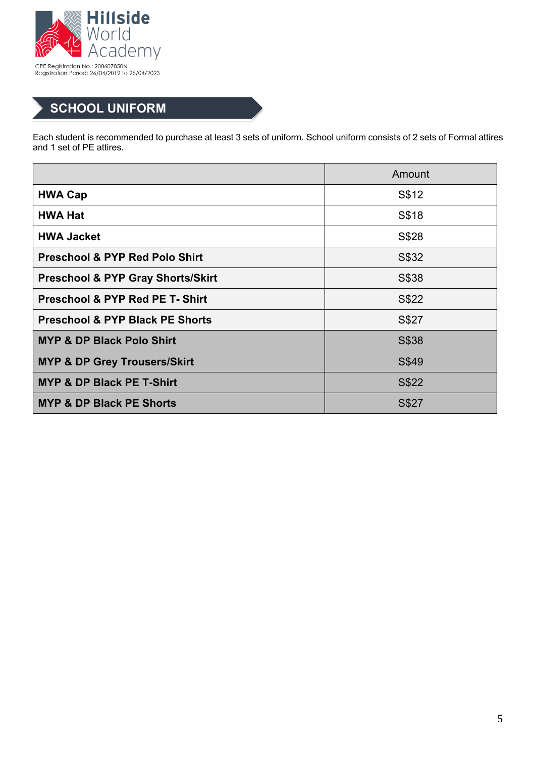

## **SCHOOL UNIFORM**

Each student is recommended to purchase at least 3 sets of uniform. School uniform consists of 2 sets of Formal attires and 1 set of PE attires.

|                                              | Amount |
|----------------------------------------------|--------|
| <b>HWA Cap</b>                               | S\$12  |
| <b>HWA Hat</b>                               | S\$18  |
| <b>HWA Jacket</b>                            | S\$28  |
| <b>Preschool &amp; PYP Red Polo Shirt</b>    | S\$32  |
| <b>Preschool &amp; PYP Gray Shorts/Skirt</b> | S\$38  |
| <b>Preschool &amp; PYP Red PE T- Shirt</b>   | S\$22  |
| <b>Preschool &amp; PYP Black PE Shorts</b>   | S\$27  |
| <b>MYP &amp; DP Black Polo Shirt</b>         | S\$38  |
| <b>MYP &amp; DP Grey Trousers/Skirt</b>      | S\$49  |
| <b>MYP &amp; DP Black PE T-Shirt</b>         | S\$22  |
| <b>MYP &amp; DP Black PE Shorts</b>          | S\$27  |